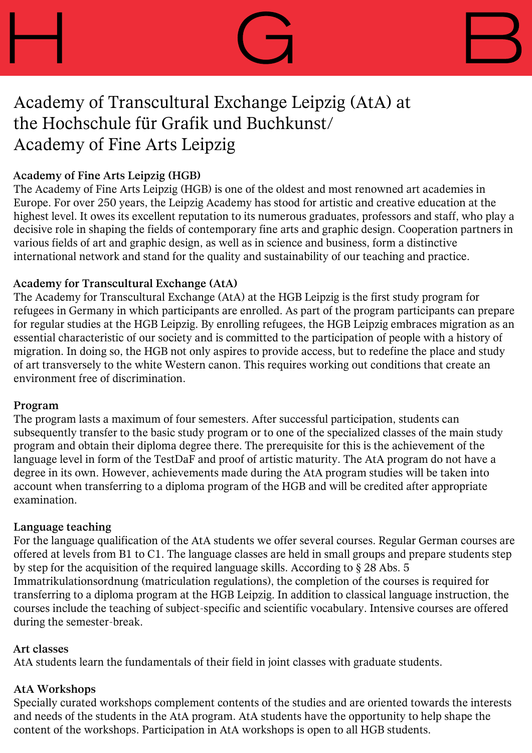

### **Academy of Fine Arts Leipzig (HGB)**

The Academy of Fine Arts Leipzig (HGB) is one of the oldest and most renowned art academies in Europe. For over 250 years, the Leipzig Academy has stood for artistic and creative education at the highest level. It owes its excellent reputation to its numerous graduates, professors and staff, who play a decisive role in shaping the fields of contemporary fine arts and graphic design. Cooperation partners in various fields of art and graphic design, as well as in science and business, form a distinctive international network and stand for the quality and sustainability of our teaching and practice.

### **Academy for Transcultural Exchange (AtA)**

The Academy for Transcultural Exchange (AtA) at the HGB Leipzig is the first study program for refugees in Germany in which participants are enrolled. As part of the program participants can prepare for regular studies at the HGB Leipzig. By enrolling refugees, the HGB Leipzig embraces migration as an essential characteristic of our society and is committed to the participation of people with a history of migration. In doing so, the HGB not only aspires to provide access, but to redefine the place and study of art transversely to the white Western canon. This requires working out conditions that create an environment free of discrimination.

#### **Program**

The program lasts a maximum of four semesters. After successful participation, students can subsequently transfer to the basic study program or to one of the specialized classes of the main study program and obtain their diploma degree there. The prerequisite for this is the achievement of the language level in form of the TestDaF and proof of artistic maturity. The AtA program do not have a degree in its own. However, achievements made during the AtA program studies will be taken into account when transferring to a diploma program of the HGB and will be credited after appropriate examination.

#### **Language teaching**

For the language qualification of the AtA students we offer several courses. Regular German courses are offered at levels from B1 to C1. The language classes are held in small groups and prepare students step by step for the acquisition of the required language skills. According to § 28 Abs. 5 Immatrikulationsordnung (matriculation regulations), the completion of the courses is required for transferring to a diploma program at the HGB Leipzig. In addition to classical language instruction, the courses include the teaching of subject-specific and scientific vocabulary. Intensive courses are offered during the semester-break.

#### **Art classes**

AtA students learn the fundamentals of their field in joint classes with graduate students.

#### **AtA Workshops**

Specially curated workshops complement contents of the studies and are oriented towards the interests and needs of the students in the AtA program. AtA students have the opportunity to help shape the content of the workshops. Participation in AtA workshops is open to all HGB students.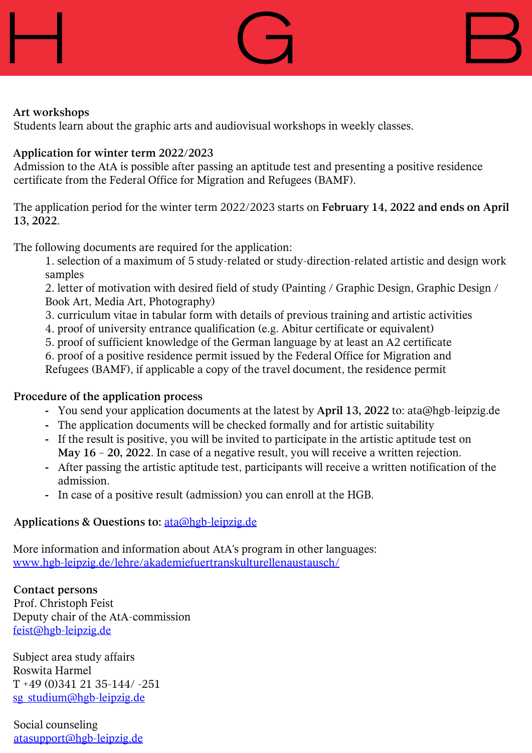





### **Art workshops**

Students learn about the graphic arts and audiovisual workshops in weekly classes.

### **Application for winter term 2022/2023**

Admission to the AtA is possible after passing an aptitude test and presenting a positive residence certificate from the Federal Office for Migration and Refugees (BAMF).

The application period for the winter term 2022/2023 starts on **February 14, 2022 and ends on April 13, 2022**.

The following documents are required for the application:

1. selection of a maximum of 5 study-related or study-direction-related artistic and design work samples

2. letter of motivation with desired field of study (Painting / Graphic Design, Graphic Design / Book Art, Media Art, Photography)

- 3. curriculum vitae in tabular form with details of previous training and artistic activities
- 4. proof of university entrance qualification (e.g. Abitur certificate or equivalent)
- 5. proof of sufficient knowledge of the German language by at least an A2 certificate

6. proof of a positive residence permit issued by the Federal Office for Migration and Refugees (BAMF), if applicable a copy of the travel document, the residence permit

## **Procedure of the application process**

- **-** You send your application documents at the latest by **April 13, 2022** to: ata@hgb-leipzig.de
- **-** The application documents will be checked formally and for artistic suitability
- **-** If the result is positive, you will be invited to participate in the artistic aptitude test on **May 16 – 20, 2022**. In case of a negative result, you will receive a written rejection.
- **-** After passing the artistic aptitude test, participants will receive a written notification of the admission.
- **-** In case of a positive result (admission) you can enroll at the HGB.

## **Applications & Questions to:** ata@hgb-leipzig.de

More information and information about AtA's program in other languages: www.hgb-leipzig.de/lehre/akademiefuertranskulturellenaustausch/

**Contact persons** Prof. Christoph Feist Deputy chair of the AtA-commission feist@hgb-leipzig.de

Subject area study affairs Roswita Harmel  $T + 49(0)3412135 - 144/ - 251$ sg\_studium@hgb-leipzig.de

Social counseling atasupport@hgb-leipzig.de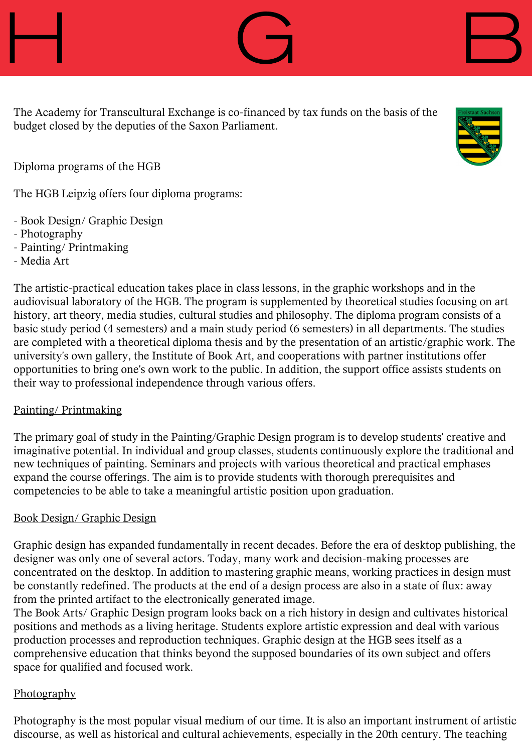

Diploma programs of the HGB

The HGB Leipzig offers four diploma programs:

- Book Design/ Graphic Design
- Photography
- Painting/ Printmaking
- Media Art

The artistic-practical education takes place in class lessons, in the graphic workshops and in the audiovisual laboratory of the HGB. The program is supplemented by theoretical studies focusing on art history, art theory, media studies, cultural studies and philosophy. The diploma program consists of a basic study period (4 semesters) and a main study period (6 semesters) in all departments. The studies are completed with a theoretical diploma thesis and by the presentation of an artistic/graphic work. The university's own gallery, the Institute of Book Art, and cooperations with partner institutions offer opportunities to bring one's own work to the public. In addition, the support office assists students on their way to professional independence through various offers.

# Painting/ Printmaking

The primary goal of study in the Painting/Graphic Design program is to develop students' creative and imaginative potential. In individual and group classes, students continuously explore the traditional and new techniques of painting. Seminars and projects with various theoretical and practical emphases expand the course offerings. The aim is to provide students with thorough prerequisites and competencies to be able to take a meaningful artistic position upon graduation.

# Book Design/ Graphic Design

Graphic design has expanded fundamentally in recent decades. Before the era of desktop publishing, the designer was only one of several actors. Today, many work and decision-making processes are concentrated on the desktop. In addition to mastering graphic means, working practices in design must be constantly redefined. The products at the end of a design process are also in a state of flux: away from the printed artifact to the electronically generated image.

The Book Arts/ Graphic Design program looks back on a rich history in design and cultivates historical positions and methods as a living heritage. Students explore artistic expression and deal with various production processes and reproduction techniques. Graphic design at the HGB sees itself as a comprehensive education that thinks beyond the supposed boundaries of its own subject and offers space for qualified and focused work.

# **Photography**

Photography is the most popular visual medium of our time. It is also an important instrument of artistic discourse, as well as historical and cultural achievements, especially in the 20th century. The teaching